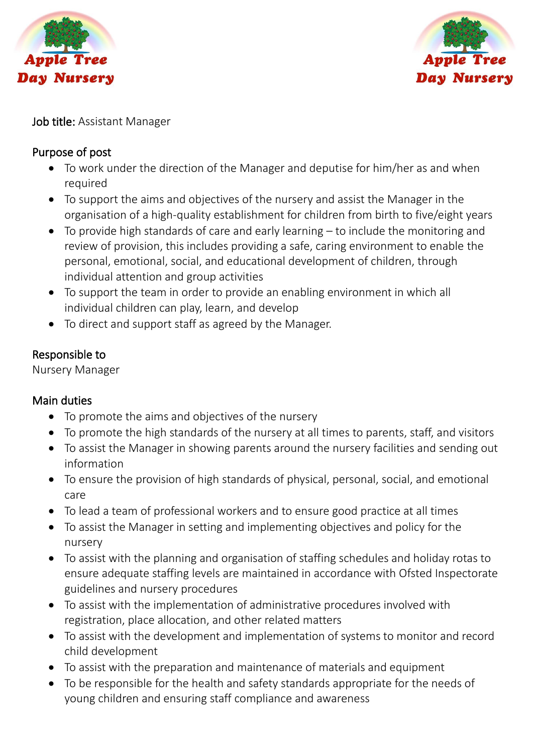



Job title: Assistant Manager

## Purpose of post

- To work under the direction of the Manager and deputise for him/her as and when required
- To support the aims and objectives of the nursery and assist the Manager in the organisation of a high-quality establishment for children from birth to five/eight years
- To provide high standards of care and early learning to include the monitoring and review of provision, this includes providing a safe, caring environment to enable the personal, emotional, social, and educational development of children, through individual attention and group activities
- To support the team in order to provide an enabling environment in which all individual children can play, learn, and develop
- To direct and support staff as agreed by the Manager.

## Responsible to

Nursery Manager

## Main duties

- To promote the aims and objectives of the nursery
- To promote the high standards of the nursery at all times to parents, staff, and visitors
- To assist the Manager in showing parents around the nursery facilities and sending out information
- To ensure the provision of high standards of physical, personal, social, and emotional care
- To lead a team of professional workers and to ensure good practice at all times
- To assist the Manager in setting and implementing objectives and policy for the nursery
- To assist with the planning and organisation of staffing schedules and holiday rotas to ensure adequate staffing levels are maintained in accordance with Ofsted Inspectorate guidelines and nursery procedures
- To assist with the implementation of administrative procedures involved with registration, place allocation, and other related matters
- To assist with the development and implementation of systems to monitor and record child development
- To assist with the preparation and maintenance of materials and equipment
- To be responsible for the health and safety standards appropriate for the needs of young children and ensuring staff compliance and awareness